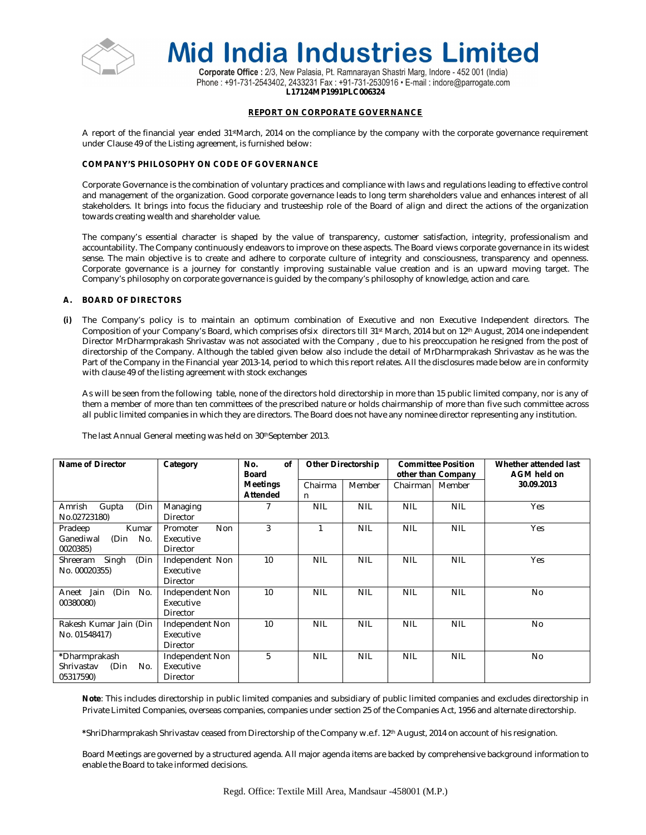

Corporate Office : 2/3, New Palasia, Pt. Ramnarayan Shastri Marg, Indore - 452 001 (India) Phone: +91-731-2543402, 2433231 Fax: +91-731-2530916 · E-mail: indore@parrogate.com **L17124MP1991PLC006324**

# **REPORT ON CORPORATE GOVERNANCE**

A report of the financial year ended 31stMarch, 2014 on the compliance by the company with the corporate governance requirement under Clause 49 of the Listing agreement, is furnished below:

# **COMPANY'S PHILOSOPHY ON CODE OF GOVERNANCE**

Corporate Governance is the combination of voluntary practices and compliance with laws and regulations leading to effective control and management of the organization. Good corporate governance leads to long term shareholders value and enhances interest of all stakeholders. It brings into focus the fiduciary and trusteeship role of the Board of align and direct the actions of the organization towards creating wealth and shareholder value.

The company's essential character is shaped by the value of transparency, customer satisfaction, integrity, professionalism and accountability. The Company continuously endeavors to improve on these aspects. The Board views corporate governance in its widest sense. The main objective is to create and adhere to corporate culture of integrity and consciousness, transparency and openness. Corporate governance is a journey for constantly improving sustainable value creation and is an upward moving target. The Company's philosophy on corporate governance is guided by the company's philosophy of knowledge, action and care.

# **A. BOARD OF DIRECTORS**

**(i)** The Company's policy is to maintain an optimum combination of Executive and non Executive Independent directors. The Composition of your Company's Board, which comprises ofsix directors till 31st March, 2014 but on 12th August, 2014 one independent Director MrDharmprakash Shrivastav was not associated with the Company , due to his preoccupation he resigned from the post of directorship of the Company. Although the tabled given below also include the detail of MrDharmprakash Shrivastav as he was the Part of the Company in the Financial year 2013-14, period to which this report relates. All the disclosures made below are in conformity with clause 49 of the listing agreement with stock exchanges

As will be seen from the following table, none of the directors hold directorship in more than 15 public limited company, nor is any of them a member of more than ten committees of the prescribed nature or holds chairmanship of more than five such committee across all public limited companies in which they are directors. The Board does not have any nominee director representing any institution.

| Name of Director             | Category               | of<br>No.<br>Board |            | <b>Other Directorship</b> |            | <b>Committee Position</b><br>other than Company | Whether attended last<br>AGM held on |
|------------------------------|------------------------|--------------------|------------|---------------------------|------------|-------------------------------------------------|--------------------------------------|
|                              |                        | <b>Meetings</b>    | Chairma    | Member                    | Chairman   | Member                                          | 30.09.2013                           |
|                              |                        | <b>Attended</b>    | n.         |                           |            |                                                 |                                      |
| (Din<br>Amrish<br>Gupta      | Managing               |                    | <b>NIL</b> | <b>NIL</b>                | <b>NIL</b> | <b>NIL</b>                                      | Yes                                  |
| No.02723180)                 | Director               |                    |            |                           |            |                                                 |                                      |
| Pradeep<br>Kumar             | <b>Non</b><br>Promoter | 3                  |            | <b>NIL</b>                | <b>NIL</b> | <b>NIL</b>                                      | Yes                                  |
| (Din<br>No.<br>Ganediwal     | Executive              |                    |            |                           |            |                                                 |                                      |
| 0020385)                     | Director               |                    |            |                           |            |                                                 |                                      |
| (Din<br>Singh<br>Shreeram    | Independent Non        | 10                 | <b>NIL</b> | <b>NIL</b>                | <b>NIL</b> | <b>NIL</b>                                      | Yes                                  |
| No. 00020355)                | Executive              |                    |            |                           |            |                                                 |                                      |
|                              | <b>Director</b>        |                    |            |                           |            |                                                 |                                      |
| Jain<br>(Din<br>No.<br>Aneet | Independent Non        | 10                 | <b>NIL</b> | <b>NIL</b>                | <b>NIL</b> | <b>NIL</b>                                      | <b>No</b>                            |
| 00380080)                    | Executive              |                    |            |                           |            |                                                 |                                      |
|                              | <b>Director</b>        |                    |            |                           |            |                                                 |                                      |
| Rakesh Kumar Jain (Din       | Independent Non        | 10                 | <b>NIL</b> | <b>NIL</b>                | <b>NIL</b> | <b>NIL</b>                                      | <b>No</b>                            |
| No. 01548417)                | Executive              |                    |            |                           |            |                                                 |                                      |
|                              | Director               |                    |            |                           |            |                                                 |                                      |
| *Dharmprakash                | Independent Non        | 5                  | <b>NIL</b> | <b>NIL</b>                | <b>NIL</b> | <b>NIL</b>                                      | <b>No</b>                            |
| (Din<br>Shrivastav<br>No.    | Executive              |                    |            |                           |            |                                                 |                                      |
| 05317590)                    | Director               |                    |            |                           |            |                                                 |                                      |

The last Annual General meeting was held on 30thSeptember 2013.

**Note**: This includes directorship in public limited companies and subsidiary of public limited companies and excludes directorship in Private Limited Companies, overseas companies, companies under section 25 of the Companies Act, 1956 and alternate directorship.

**\***ShriDharmprakash Shrivastav ceased from Directorship of the Company w.e.f. 12th August, 2014 on account of his resignation.

Board Meetings are governed by a structured agenda. All major agenda items are backed by comprehensive background information to enable the Board to take informed decisions.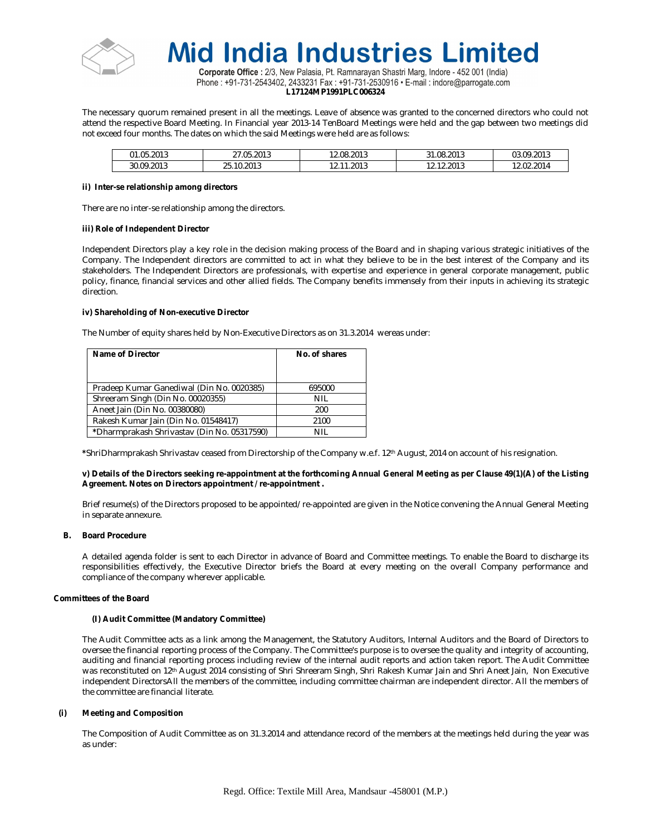

Corporate Office : 2/3, New Palasia, Pt. Ramnarayan Shastri Marg, Indore - 452 001 (India) Phone: +91-731-2543402, 2433231 Fax: +91-731-2530916 • E-mail: indore@parrogate.com **L17124MP1991PLC006324**

The necessary quorum remained present in all the meetings. Leave of absence was granted to the concerned directors who could not attend the respective Board Meeting. In Financial year 2013-14 TenBoard Meetings were held and the gap between two meetings did not exceed four months. The dates on which the said Meetings were held are as follows:

| 1.05.2013  | .05.2013<br>--<br><u>.</u> | 12.08.2013                       | 31.08.2013<br>$\sim$          | 9.2013<br>03.09     |
|------------|----------------------------|----------------------------------|-------------------------------|---------------------|
| 30.09.2013 | 10.201<br>1 U.ZU I J<br>۷. | .2013<br>10<br>- -<br>. <u>.</u> | 12.2013<br>$\sim$<br><u>.</u> | 402.201⊥.<br>$\sim$ |

#### **ii) Inter-se relationship among directors**

There are no inter-se relationship among the directors.

## **iii) Role of Independent Director**

Independent Directors play a key role in the decision making process of the Board and in shaping various strategic initiatives of the Company. The Independent directors are committed to act in what they believe to be in the best interest of the Company and its stakeholders. The Independent Directors are professionals, with expertise and experience in general corporate management, public policy, finance, financial services and other allied fields. The Company benefits immensely from their inputs in achieving its strategic direction.

## **iv) Shareholding of Non-executive Director**

The Number of equity shares held by Non-Executive Directors as on 31.3.2014 wereas under:

| Name of Director                            | No. of shares |
|---------------------------------------------|---------------|
|                                             |               |
|                                             |               |
| Pradeep Kumar Ganediwal (Din No. 0020385)   | 695000        |
| Shreeram Singh (Din No. 00020355)           | NIL           |
| Aneet Jain (Din No. 00380080)               | 200           |
| Rakesh Kumar Jain (Din No. 01548417)        | 2100          |
| *Dharmprakash Shrivastav (Din No. 05317590) | NIL           |

**\***ShriDharmprakash Shrivastav ceased from Directorship of the Company w.e.f. 12th August, 2014 on account of his resignation.

## **v) Details of the Directors seeking re-appointment at the forthcoming Annual General Meeting as per Clause 49(1)(A) of the Listing Agreement. Notes on Directors appointment / re-appointment .**

Brief resume(s) of the Directors proposed to be appointed/re-appointed are given in the Notice convening the Annual General Meeting in separate annexure.

#### **B. Board Procedure**

A detailed agenda folder is sent to each Director in advance of Board and Committee meetings. To enable the Board to discharge its responsibilities effectively, the Executive Director briefs the Board at every meeting on the overall Company performance and compliance of the company wherever applicable.

# **Committees of the Board**

#### **(I) Audit Committee (Mandatory Committee)**

The Audit Committee acts as a link among the Management, the Statutory Auditors, Internal Auditors and the Board of Directors to oversee the financial reporting process of the Company. The Committee's purpose is to oversee the quality and integrity of accounting, auditing and financial reporting process including review of the internal audit reports and action taken report. The Audit Committee was reconstituted on 12th August 2014 consisting of Shri Shreeram Singh, Shri Rakesh Kumar Jain and Shri Aneet Jain, Non Executive independent DirectorsAll the members of the committee, including committee chairman are independent director. All the members of the committee are financial literate.

# **(i) Meeting and Composition**

The Composition of Audit Committee as on 31.3.2014 and attendance record of the members at the meetings held during the year was as under: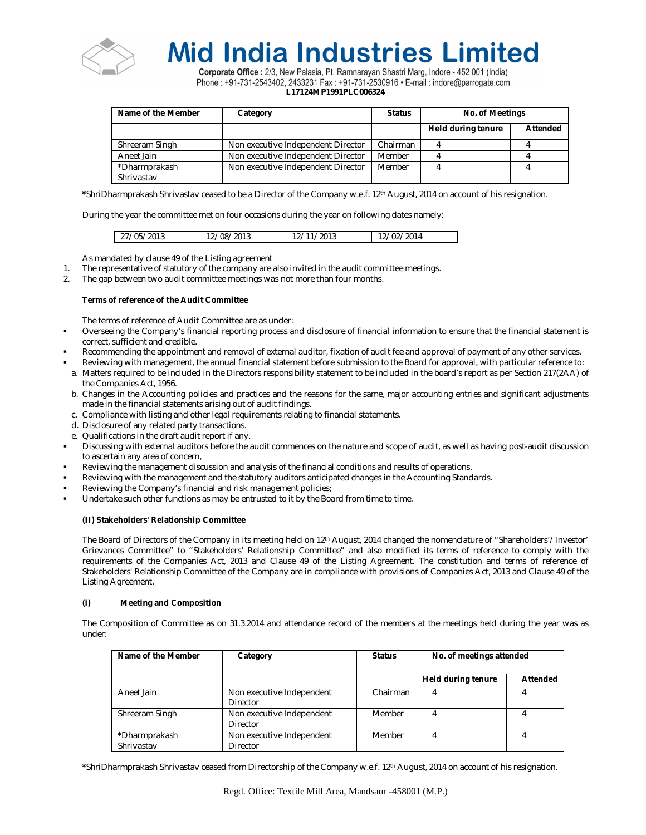

Corporate Office : 2/3, New Palasia, Pt. Ramnarayan Shastri Marg, Indore - 452 001 (India) Phone : +91-731-2543402, 2433231 Fax : +91-731-2530916 · E-mail : indore@parrogate.com **L17124MP1991PLC006324**

| Name of the Member | Category                           | <b>Status</b> | <b>No. of Meetings</b> |                 |
|--------------------|------------------------------------|---------------|------------------------|-----------------|
|                    |                                    |               | Held during tenure     | <b>Attended</b> |
| Shreeram Singh     | Non executive Independent Director | Chairman      |                        |                 |
| Aneet Jain         | Non executive Independent Director | Member        |                        |                 |
| *Dharmprakash      | Non executive Independent Director | Member        |                        |                 |
| Shrivastav         |                                    |               |                        |                 |

**\***ShriDharmprakash Shrivastav ceased to be a Director of the Company w.e.f. 12th August, 2014 on account of his resignation.

During the year the committee met on four occasions during the year on following dates namely:

| 12/02/2014<br>27/05/2013<br>/08/2013<br>'2013 |  |  |
|-----------------------------------------------|--|--|
|                                               |  |  |

As mandated by clause 49 of the Listing agreement

- 1. The representative of statutory of the company are also invited in the audit committee meetings.
- 2. The gap between two audit committee meetings was not more than four months.

# **Terms of reference of the Audit Committee**

The terms of reference of Audit Committee are as under:

- Overseeing the Company's financial reporting process and disclosure of financial information to ensure that the financial statement is correct, sufficient and credible.
- Recommending the appointment and removal of external auditor, fixation of audit fee and approval of payment of any other services.
- Reviewing with management, the annual financial statement before submission to the Board for approval, with particular reference to:
- a. Matters required to be included in the Directors responsibility statement to be included in the board's report as per Section 217(2AA) of the Companies Act, 1956.
- b. Changes in the Accounting policies and practices and the reasons for the same, major accounting entries and significant adjustments made in the financial statements arising out of audit findings.
- c. Compliance with listing and other legal requirements relating to financial statements.
- d. Disclosure of any related party transactions.
- e. Qualifications in the draft audit report if any.
- Discussing with external auditors before the audit commences on the nature and scope of audit, as well as having post-audit discussion to ascertain any area of concern,
- Reviewing the management discussion and analysis of the financial conditions and results of operations.
- Reviewing with the management and the statutory auditors anticipated changes in the Accounting Standards.
- Reviewing the Company's financial and risk management policies;
- Undertake such other functions as may be entrusted to it by the Board from time to time.

# **(II) Stakeholders' Relationship Committee**

The Board of Directors of the Company in its meeting held on 12<sup>th</sup> August, 2014 changed the nomenclature of "Shareholders'/Investor' Grievances Committee" to "Stakeholders' Relationship Committee" and also modified its terms of reference to comply with the requirements of the Companies Act, 2013 and Clause 49 of the Listing Agreement. The constitution and terms of reference of Stakeholders' Relationship Committee of the Company are in compliance with provisions of Companies Act, 2013 and Clause 49 of the Listing Agreement.

# **(i) Meeting and Composition**

The Composition of Committee as on 31.3.2014 and attendance record of the members at the meetings held during the year was as under:

| Name of the Member          | Category                              | <b>Status</b> | No. of meetings attended |          |
|-----------------------------|---------------------------------------|---------------|--------------------------|----------|
|                             |                                       |               | Held during tenure       | Attended |
| Aneet Jain                  | Non executive Independent<br>Director | Chairman      |                          |          |
| Shreeram Singh              | Non executive Independent<br>Director | Member        |                          |          |
| *Dharmprakash<br>Shrivastav | Non executive Independent<br>Director | Member        |                          |          |

**\***ShriDharmprakash Shrivastav ceased from Directorship of the Company w.e.f. 12th August, 2014 on account of his resignation.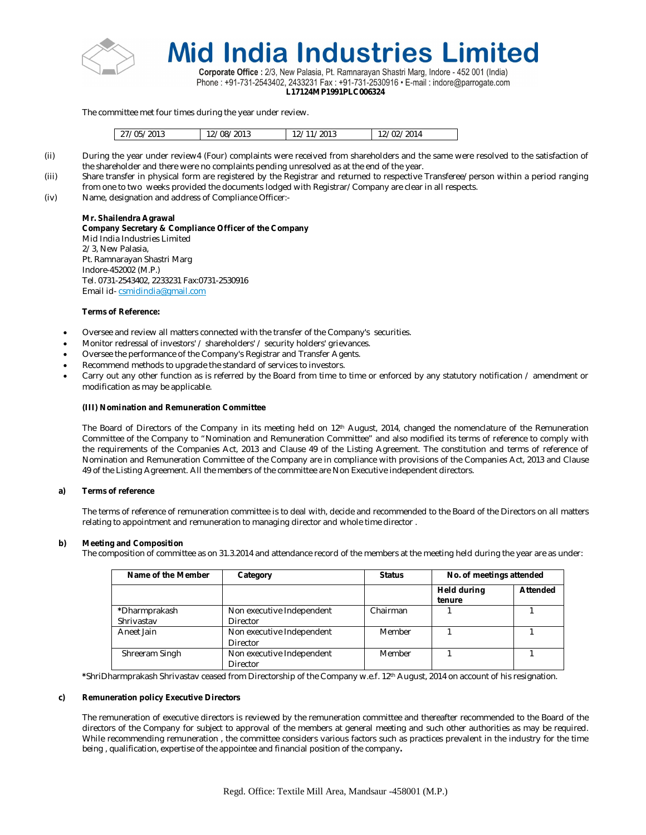

Corporate Office : 2/3, New Palasia, Pt. Ramnarayan Shastri Marg, Indore - 452 001 (India) Phone: +91-731-2543402, 2433231 Fax: +91-731-2530916 • E-mail: indore@parrogate.com **L17124MP1991PLC006324**

The committee met four times during the year under review.

| 27/05/2013 | /08/2013 | /2013 | 12/02/2014 |
|------------|----------|-------|------------|
|            |          |       |            |

- (ii) During the year under review4 (Four) complaints were received from shareholders and the same were resolved to the satisfaction of the shareholder and there were no complaints pending unresolved as at the end of the year.
- (iii) Share transfer in physical form are registered by the Registrar and returned to respective Transferee/person within a period ranging from one to two weeks provided the documents lodged with Registrar/Company are clear in all respects.
- (iv) Name, designation and address of Compliance Officer:-

# **Mr. Shailendra Agrawal**

**Company Secretary & Compliance Officer of the Company**  Mid India Industries Limited 2/3, New Palasia, Pt. Ramnarayan Shastri Marg Indore-452002 (M.P.) Tel. 0731-2543402, 2233231 Fax:0731-2530916 Email id- csmidindia@gmail.com

# **Terms of Reference:**

- Oversee and review all matters connected with the transfer of the Company's securities.
- Monitor redressal of investors' / shareholders' / security holders' grievances.
- Oversee the performance of the Company's Registrar and Transfer Agents.
- Recommend methods to upgrade the standard of services to investors.
- Carry out any other function as is referred by the Board from time to time or enforced by any statutory notification / amendment or modification as may be applicable.

# **(III) Nomination and Remuneration Committee**

The Board of Directors of the Company in its meeting held on 12<sup>th</sup> August, 2014, changed the nomenclature of the Remuneration Committee of the Company to "Nomination and Remuneration Committee" and also modified its terms of reference to comply with the requirements of the Companies Act, 2013 and Clause 49 of the Listing Agreement. The constitution and terms of reference of Nomination and Remuneration Committee of the Company are in compliance with provisions of the Companies Act, 2013 and Clause 49 of the Listing Agreement. All the members of the committee are Non Executive independent directors.

# **a) Terms of reference**

The terms of reference of remuneration committee is to deal with, decide and recommended to the Board of the Directors on all matters relating to appointment and remuneration to managing director and whole time director .

# **b) Meeting and Composition**

The composition of committee as on 31.3.2014 and attendance record of the members at the meeting held during the year are as under:

| Name of the Member          | Category                              | <b>Status</b> | No. of meetings attended     |          |
|-----------------------------|---------------------------------------|---------------|------------------------------|----------|
|                             |                                       |               | <b>Held during</b><br>tenure | Attended |
| *Dharmprakash<br>Shrivastav | Non executive Independent<br>Director | Chairman      |                              |          |
| Aneet Jain                  | Non executive Independent<br>Director | Member        |                              |          |
| Shreeram Singh              | Non executive Independent<br>Director | Member        |                              |          |

**\***ShriDharmprakash Shrivastav ceased from Directorship of the Company w.e.f. 12th August, 2014 on account of his resignation.

# **c) Remuneration policy Executive Directors**

The remuneration of executive directors is reviewed by the remuneration committee and thereafter recommended to the Board of the directors of the Company for subject to approval of the members at general meeting and such other authorities as may be required. While recommending remuneration , the committee considers various factors such as practices prevalent in the industry for the time being , qualification, expertise of the appointee and financial position of the company**.**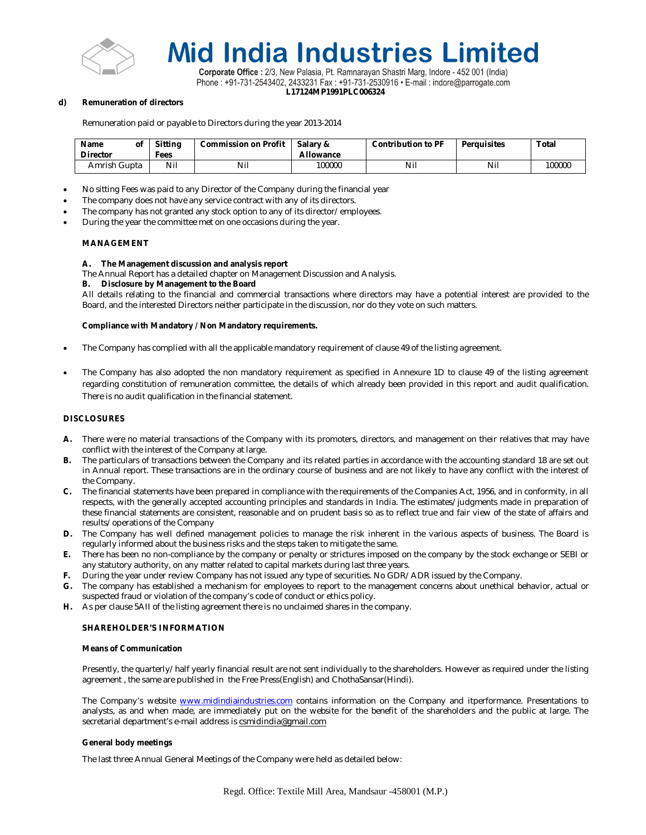

Corporate Office : 2/3, New Palasia, Pt. Ramnarayan Shastri Marg, Indore - 452 001 (India) Phone: +91-731-2543402, 2433231 Fax: +91-731-2530916 • E-mail: indore@parrogate.com **L17124MP1991PLC006324**

### **d) Remuneration of directors**

Remuneration paid or payable to Directors during the year 2013-2014

| <b>Name</b><br><b>Director</b> | οf | <b>Sitting</b><br>Fees | <b>Commission on Profit</b> | Salary &<br>Allowance | <b>Contribution to PF</b> | <b>Perauisites</b> | <b>Total</b> |
|--------------------------------|----|------------------------|-----------------------------|-----------------------|---------------------------|--------------------|--------------|
| Amrish Gupta                   |    | Nil                    | Nii                         | 100000                | Nil                       | Nil                | 100000       |

- No sitting Fees was paid to any Director of the Company during the financial year
- The company does not have any service contract with any of its directors.
- The company has not granted any stock option to any of its director/employees.
- During the year the committee met on one occasions during the year.

## **MANAGEMENT**

## **A. The Management discussion and analysis report**

The Annual Report has a detailed chapter on Management Discussion and Analysis.

## **B. Disclosure by Management to the Board**

All details relating to the financial and commercial transactions where directors may have a potential interest are provided to the Board, and the interested Directors neither participate in the discussion, nor do they vote on such matters.

## **Compliance with Mandatory / Non Mandatory requirements.**

- The Company has complied with all the applicable mandatory requirement of clause 49 of the listing agreement.
- The Company has also adopted the non mandatory requirement as specified in Annexure 1D to clause 49 of the listing agreement regarding constitution of remuneration committee, the details of which already been provided in this report and audit qualification. There is no audit qualification in the financial statement.

## **DISCLOSURES**

- **A.** There were no material transactions of the Company with its promoters, directors, and management on their relatives that may have conflict with the interest of the Company at large.
- **B.** The particulars of transactions between the Company and its related parties in accordance with the accounting standard 18 are set out in Annual report. These transactions are in the ordinary course of business and are not likely to have any conflict with the interest of the Company.
- **C.** The financial statements have been prepared in compliance with the requirements of the Companies Act, 1956, and in conformity, in all respects, with the generally accepted accounting principles and standards in India. The estimates/judgments made in preparation of these financial statements are consistent, reasonable and on prudent basis so as to reflect true and fair view of the state of affairs and results/operations of the Company
- **D.** The Company has well defined management policies to manage the risk inherent in the various aspects of business. The Board is regularly informed about the business risks and the steps taken to mitigate the same.
- **E.** There has been no non-compliance by the company or penalty or strictures imposed on the company by the stock exchange or SEBI or any statutory authority, on any matter related to capital markets during last three years.
- **F.** During the year under review Company has not issued any type of securities. No GDR/ADR issued by the Company.
- **G.** The company has established a mechanism for employees to report to the management concerns about unethical behavior, actual or suspected fraud or violation of the company's code of conduct or ethics policy.
- **H.** As per clause 5AII of the listing agreement there is no unclaimed shares in the company.

#### **SHAREHOLDER'S INFORMATION**

# **Means of Communication**

Presently, the quarterly/half yearly financial result are not sent individually to the shareholders. However as required under the listing agreement , the same are published in the Free Press(English) and ChothaSansar(Hindi).

The Company's website www.midindiaindustries.com contains information on the Company and itperformance. Presentations to analysts, as and when made, are immediately put on the website for the benefit of the shareholders and the public at large. The secretarial department's e-mail address is csmidindia@gmail.com

#### **General body meetings**

The last three Annual General Meetings of the Company were held as detailed below: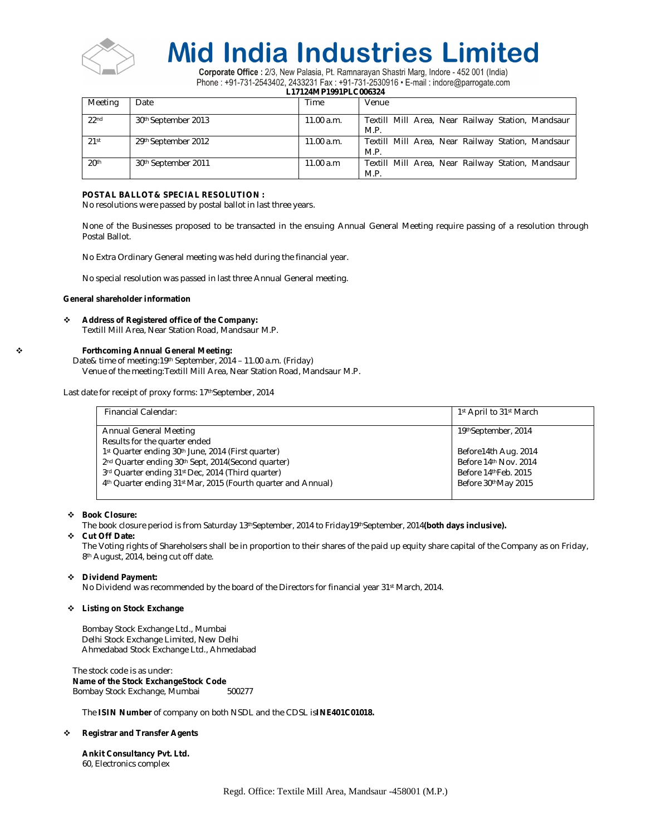

Corporate Office : 2/3, New Palasia, Pt. Ramnarayan Shastri Marg, Indore - 452 001 (India) Phone: +91-731-2543402, 2433231 Fax: +91-731-2530916 · E-mail: indore@parrogate.com

**L17124MP1991PLC006324**

| Meeting          | Date                            | Time       | Venue                                                     |
|------------------|---------------------------------|------------|-----------------------------------------------------------|
| 22 <sub>nd</sub> | 30 <sup>th</sup> September 2013 | 11.00 a.m. | Textill Mill Area, Near Railway Station, Mandsaur<br>M.P. |
| $21$ st          | 29th September 2012             | 11.00 a.m. | Textill Mill Area, Near Railway Station, Mandsaur<br>M.P. |
| 20 <sup>th</sup> | 30th September 2011             | 11.00 a.m  | Textill Mill Area, Near Railway Station, Mandsaur<br>M.P. |

## **POSTAL BALLOT& SPECIAL RESOLUTION :**

No resolutions were passed by postal ballot in last three years.

None of the Businesses proposed to be transacted in the ensuing Annual General Meeting require passing of a resolution through Postal Ballot.

No Extra Ordinary General meeting was held during the financial year.

No special resolution was passed in last three Annual General meeting.

## **General shareholder information**

# **Address of Registered office of the Company:**

Textill Mill Area, Near Station Road, Mandsaur M.P.

# **Forthcoming Annual General Meeting:**

Date& time of meeting:19th September, 2014 – 11.00 a.m. (Friday) Venue of the meeting:Textill Mill Area, Near Station Road, Mandsaur M.P.

Last date for receipt of proxy forms: 17<sup>th</sup>September, 2014

| Financial Calendar:                                           | 1 <sup>st</sup> April to 31 <sup>st</sup> March |
|---------------------------------------------------------------|-------------------------------------------------|
|                                                               |                                                 |
| Annual General Meeting<br>Results for the quarter ended       | 19thSeptember, 2014                             |
| 1st Quarter ending 30th June, 2014 (First quarter)            | Before14th Aug. 2014                            |
| 2nd Quarter ending 30th Sept, 2014 (Second quarter)           | Before 14th Nov. 2014                           |
| 3rd Quarter ending 31st Dec, 2014 (Third quarter)             | Before 14th Feb. 2015                           |
| 4th Quarter ending 31st Mar, 2015 (Fourth guarter and Annual) | Before 30thMay 2015                             |
|                                                               |                                                 |

# **Book Closure:**

The book closure period is from Saturday 13<sup>th</sup>September, 2014 to Friday19<sup>th</sup>September, 2014(both days inclusive).

### **Cut Off Date:**

The Voting rights of Shareholsers shall be in proportion to their shares of the paid up equity share capital of the Company as on Friday, 8<sup>th</sup> August, 2014, being cut off date.

#### **Dividend Payment:**

No Dividend was recommended by the board of the Directors for financial year 31st March, 2014.

#### **Listing on Stock Exchange**

Bombay Stock Exchange Ltd., Mumbai Delhi Stock Exchange Limited, New Delhi Ahmedabad Stock Exchange Ltd., Ahmedabad

The stock code is as under: **Name of the Stock ExchangeStock Code**  Bombay Stock Exchange, Mumbai

The **ISIN Number** of company on both NSDL and the CDSL is**INE401C01018.**

# **Registrar and Transfer Agents**

**Ankit Consultancy Pvt. Ltd.** 60, Electronics complex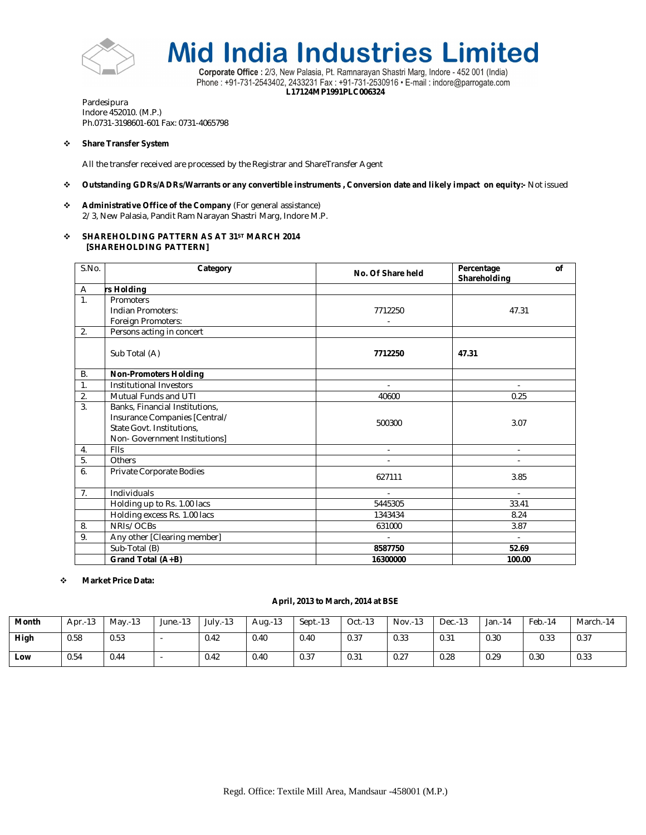



Corporate Office : 2/3, New Palasia, Pt. Ramnarayan Shastri Marg, Indore - 452 001 (India) Phone: +91-731-2543402, 2433231 Fax: +91-731-2530916 · E-mail: indore@parrogate.com **L17124MP1991PLC006324**

Pardesipura Indore 452010. (M.P.) Ph.0731-3198601-601 Fax: 0731-4065798

# **Share Transfer System**

All the transfer received are processed by the Registrar and ShareTransfer Agent

# **Outstanding GDRs/ADRs/Warrants or any convertible instruments , Conversion date and likely impact on equity:-** Not issued

 **Administrative Office of the Company** (For general assistance) 2/3, New Palasia, Pandit Ram Narayan Shastri Marg, Indore M.P.

# **SHAREHOLDING PATTERN AS AT 31ST MARCH 2014 [SHAREHOLDING PATTERN]**

| S.No.          | Category<br>No. Of Share held                                                                                                 |                | Percentage<br>of<br>Shareholding |
|----------------|-------------------------------------------------------------------------------------------------------------------------------|----------------|----------------------------------|
| A              | rs Holding                                                                                                                    |                |                                  |
| 1.             | Promoters<br>Indian Promoters:<br>Foreign Promoters:                                                                          | 7712250        | 47.31                            |
| 2.             | Persons acting in concert                                                                                                     |                |                                  |
|                | Sub Total (A)                                                                                                                 | 7712250        | 47.31                            |
| <b>B.</b>      | <b>Non-Promoters Holding</b>                                                                                                  |                |                                  |
| 1.             | Institutional Investors                                                                                                       | $\overline{a}$ |                                  |
| 2.             | Mutual Funds and UTI                                                                                                          | 40600          | 0.25                             |
| 3.             | Banks, Financial Institutions,<br>Insurance Companies [Central/<br>State Govt. Institutions,<br>Non- Government Institutions] | 500300         | 3.07                             |
| 4.             | FIIs                                                                                                                          | ÷.             | $\overline{\phantom{a}}$         |
| 5.             | Others                                                                                                                        |                |                                  |
| 6.             | Private Corporate Bodies                                                                                                      | 627111         | 3.85                             |
| 7 <sub>1</sub> | Individuals                                                                                                                   |                |                                  |
|                | Holding up to Rs. 1.00 lacs                                                                                                   | 5445305        | 33.41                            |
|                | Holding excess Rs. 1.00 lacs                                                                                                  | 1343434        | 8.24                             |
| 8.             | NRIs/OCBs                                                                                                                     | 631000         | 3.87                             |
| 9.             | Any other [Clearing member]                                                                                                   |                | $\blacksquare$                   |
|                | Sub-Total (B)                                                                                                                 | 8587750        | 52.69                            |
|                | Grand Total (A+B)                                                                                                             | 16300000       | 100.00                           |

# **Market Price Data:**

# **April, 2013 to March, 2014 at BSE**

| Month | $\mathbf{A}$<br>Apr.-13 | $M$ av.-13 | June.-13 | $July. -13$ | Aug.-13 | $Sept.-13$ | $Oct.-13$ | Nov.-13 | Dec.-13 | Jan.-14 | Feb.-14 | March.-14 |
|-------|-------------------------|------------|----------|-------------|---------|------------|-----------|---------|---------|---------|---------|-----------|
| High  | 0.58                    | 0.53       |          | 0.42        | 0.40    | 0.40       | 0.37      | 0.33    | 0.31    | 0.30    | 0.33    | 0.37      |
| Low   | 0.54                    | 0.44       | . .      | 0.42        | 0.40    | 0.37       | 0.31      | 0.27    | 0.28    | 0.29    | 0.30    | 0.33      |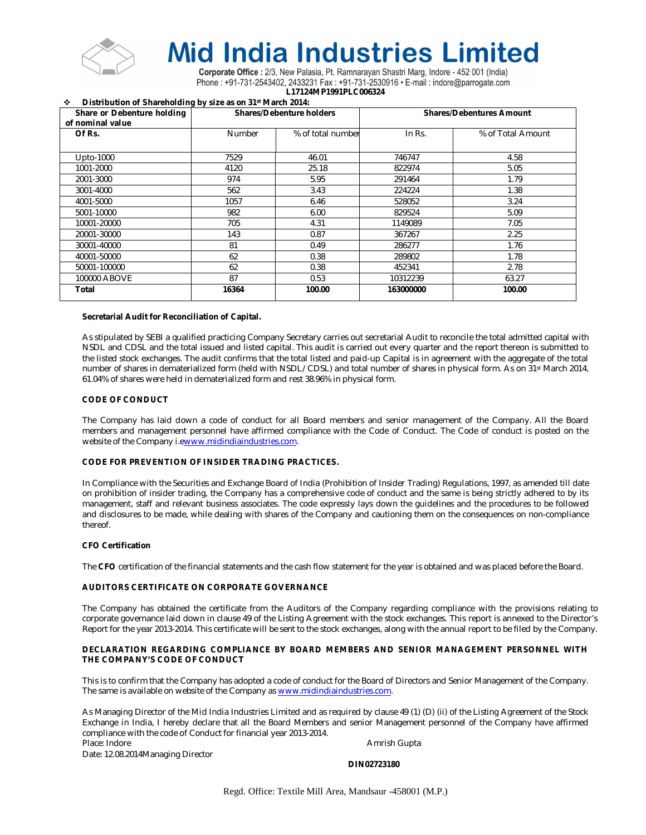

Corporate Office : 2/3, New Palasia, Pt. Ramnarayan Shastri Marg, Indore - 452 001 (India) Phone: +91-731-2543402, 2433231 Fax: +91-731-2530916 • E-mail: indore@parrogate.com **L17124MP1991PLC006324**

**Distribution of Shareholding by size as on 31st March 2014:**

| Share or Debenture holding<br>of nominal value |               | <b>Shares/Debenture holders</b> | <b>Shares/Debentures Amount</b> |                   |  |  |
|------------------------------------------------|---------------|---------------------------------|---------------------------------|-------------------|--|--|
| Of Rs.                                         | <b>Number</b> | % of total number               | In Rs.                          | % of Total Amount |  |  |
|                                                |               |                                 |                                 |                   |  |  |
| Upto-1000                                      | 7529          | 46.01                           | 746747                          | 4.58              |  |  |
| 1001-2000                                      | 4120          | 25.18                           | 822974                          | 5.05              |  |  |
| 2001-3000                                      | 974           | 5.95                            | 291464                          | 1.79              |  |  |
| 3001-4000                                      | 562           | 3.43                            | 224224                          | 1.38              |  |  |
| 4001-5000                                      | 1057          | 6.46                            | 528052                          | 3.24              |  |  |
| 5001-10000                                     | 982           | 6.00                            | 829524                          | 5.09              |  |  |
| 10001-20000                                    | 705           | 4.31                            | 1149089                         | 7.05              |  |  |
| 20001-30000                                    | 143           | 0.87                            | 367267                          | 2.25              |  |  |
| 30001-40000                                    | 81            | 0.49                            | 286277                          | 1.76              |  |  |
| 40001-50000                                    | 62            | 0.38                            | 289802                          | 1.78              |  |  |
| 50001-100000                                   | 62            | 0.38                            | 452341                          | 2.78              |  |  |
| 100000 ABOVE                                   | 87            | 0.53                            | 10312239                        | 63.27             |  |  |
| Total                                          | 16364         | 100.00                          | 163000000                       | 100.00            |  |  |

## **Secretarial Audit for Reconciliation of Capital.**

As stipulated by SEBI a qualified practicing Company Secretary carries out secretarial Audit to reconcile the total admitted capital with NSDL and CDSL and the total issued and listed capital. This audit is carried out every quarter and the report thereon is submitted to the listed stock exchanges. The audit confirms that the total listed and paid-up Capital is in agreement with the aggregate of the total number of shares in dematerialized form (held with NSDL/CDSL) and total number of shares in physical form. As on 31st March 2014, 61.04% of shares were held in dematerialized form and rest 38.96% in physical form.

## **CODE OF CONDUCT**

The Company has laid down a code of conduct for all Board members and senior management of the Company. All the Board members and management personnel have affirmed compliance with the Code of Conduct. The Code of conduct is posted on the website of the Company i.ewww.midindiaindustries.com.

# **CODE FOR PREVENTION OF INSIDER TRADING PRACTICES.**

In Compliance with the Securities and Exchange Board of India (Prohibition of Insider Trading) Regulations, 1997, as amended till date on prohibition of insider trading, the Company has a comprehensive code of conduct and the same is being strictly adhered to by its management, staff and relevant business associates. The code expressly lays down the guidelines and the procedures to be followed and disclosures to be made, while dealing with shares of the Company and cautioning them on the consequences on non-compliance thereof.

### **CFO Certification**

The **CFO** certification of the financial statements and the cash flow statement for the year is obtained and was placed before the Board.

# **AUDITORS CERTIFICATE ON CORPORATE GOVERNANCE**

The Company has obtained the certificate from the Auditors of the Company regarding compliance with the provisions relating to corporate governance laid down in clause 49 of the Listing Agreement with the stock exchanges. This report is annexed to the Director's Report for the year 2013-2014. This certificate will be sent to the stock exchanges, along with the annual report to be filed by the Company.

## **DECLARATION REGARDING COMPLIANCE BY BOARD MEMBERS AND SENIOR MANAGEMENT PERSONNEL WITH THE COMPANY'S CODE OF CONDUCT**

This is to confirm that the Company has adopted a code of conduct for the Board of Directors and Senior Management of the Company. The same is available on website of the Company as www.midindiaindustries.com.

As Managing Director of the Mid India Industries Limited and as required by clause 49 (1) (D) (ii) of the Listing Agreement of the Stock Exchange in India, I hereby declare that all the Board Members and senior Management personnel of the Company have affirmed compliance with the code of Conduct for financial year 2013-2014.

Place: Indore **Amrish Gupta Place: Indore** Amrish Gupta **Amrish Gupta Amrish Gupta Amrish Gupta Amrish Gupta Amrish Gupta Amrish Gupta Amrish Gupta Amrish Gupta Amrish Gupta Amrish Gupta Amrish Gupta** 

Date: 12.08.2014Managing Director

# **DIN02723180**

Regd. Office: Textile Mill Area, Mandsaur -458001 (M.P.)